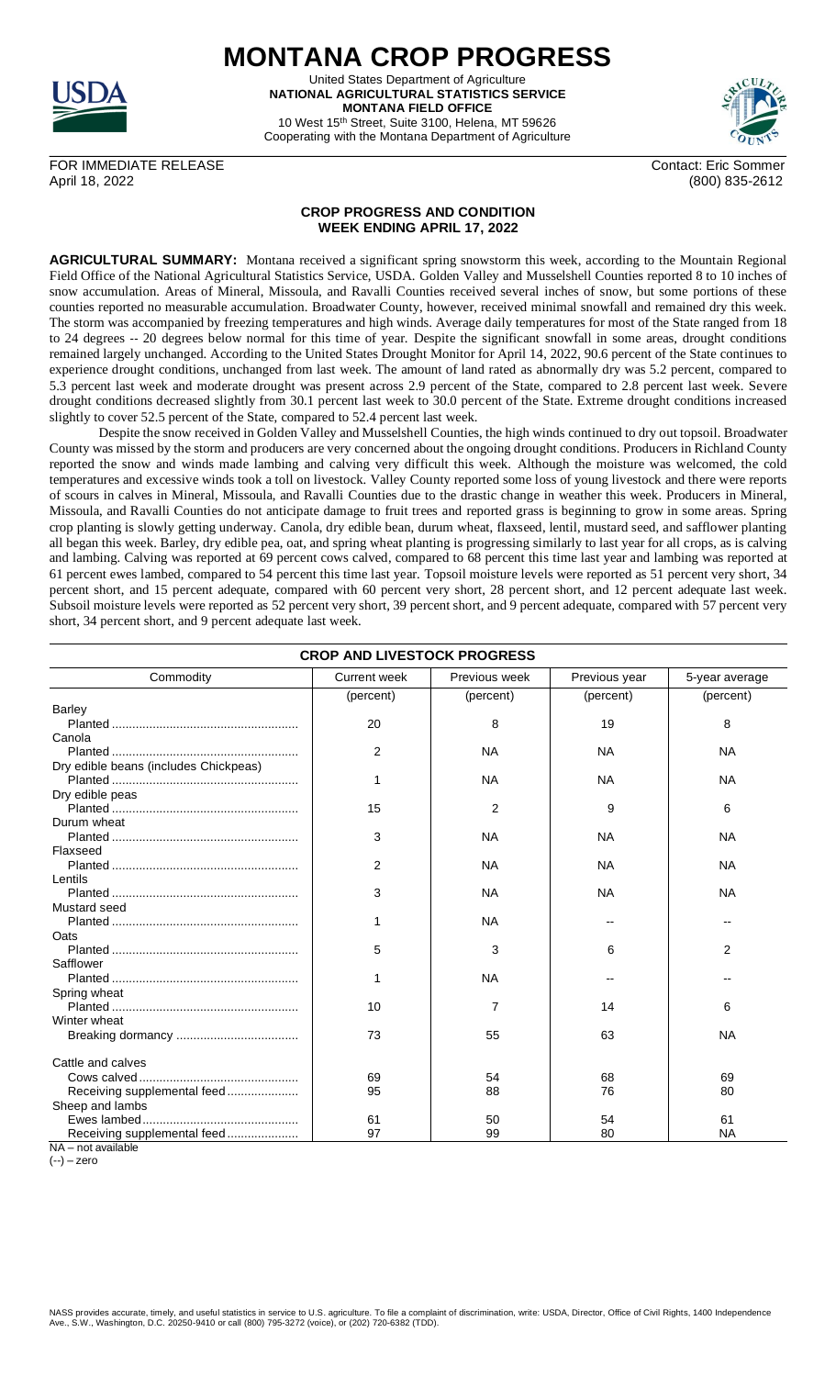

**MONTANA CROP PROGRESS** United States Department of Agriculture **NATIONAL AGRICULTURAL STATISTICS SERVICE MONTANA FIELD OFFICE**

10 West 15th Street, Suite 3100, Helena, MT 59626 Cooperating with the Montana Department of Agriculture



FOR IMMEDIATE RELEASE Contact: Eric Sommer April 18, 2022 (800) 835-2612

## **CROP PROGRESS AND CONDITION WEEK ENDING APRIL 17, 2022**

**AGRICULTURAL SUMMARY:** Montana received a significant spring snowstorm this week, according to the Mountain Regional Field Office of the National Agricultural Statistics Service, USDA. Golden Valley and Musselshell Counties reported 8 to 10 inches of snow accumulation. Areas of Mineral, Missoula, and Ravalli Counties received several inches of snow, but some portions of these counties reported no measurable accumulation. Broadwater County, however, received minimal snowfall and remained dry this week. The storm was accompanied by freezing temperatures and high winds. Average daily temperatures for most of the State ranged from 18 to 24 degrees -- 20 degrees below normal for this time of year. Despite the significant snowfall in some areas, drought conditions remained largely unchanged. According to the United States Drought Monitor for April 14, 2022, 90.6 percent of the State continues to experience drought conditions, unchanged from last week. The amount of land rated as abnormally dry was 5.2 percent, compared to 5.3 percent last week and moderate drought was present across 2.9 percent of the State, compared to 2.8 percent last week. Severe drought conditions decreased slightly from 30.1 percent last week to 30.0 percent of the State. Extreme drought conditions increased slightly to cover 52.5 percent of the State, compared to 52.4 percent last week.

Despite the snow received in Golden Valley and Musselshell Counties, the high winds continued to dry out topsoil. Broadwater County was missed by the storm and producers are very concerned about the ongoing drought conditions. Producers in Richland County reported the snow and winds made lambing and calving very difficult this week. Although the moisture was welcomed, the cold temperatures and excessive winds took a toll on livestock. Valley County reported some loss of young livestock and there were reports of scours in calves in Mineral, Missoula, and Ravalli Counties due to the drastic change in weather this week. Producers in Mineral, Missoula, and Ravalli Counties do not anticipate damage to fruit trees and reported grass is beginning to grow in some areas. Spring crop planting is slowly getting underway. Canola, dry edible bean, durum wheat, flaxseed, lentil, mustard seed, and safflower planting all began this week. Barley, dry edible pea, oat, and spring wheat planting is progressing similarly to last year for all crops, as is calving and lambing. Calving was reported at 69 percent cows calved, compared to 68 percent this time last year and lambing was reported at 61 percent ewes lambed, compared to 54 percent this time last year. Topsoil moisture levels were reported as 51 percent very short, 34 percent short, and 15 percent adequate, compared with 60 percent very short, 28 percent short, and 12 percent adequate last week. Subsoil moisture levels were reported as 52 percent very short, 39 percent short, and 9 percent adequate, compared with 57 percent very short, 34 percent short, and 9 percent adequate last week.

| Commodity                             | <b>Current week</b> | Previous week | Previous year | 5-year average |
|---------------------------------------|---------------------|---------------|---------------|----------------|
|                                       | (percent)           | (percent)     | (percent)     | (percent)      |
| <b>Barley</b>                         |                     |               |               |                |
|                                       | 20                  | 8             | 19            | 8              |
| Canola                                |                     |               |               |                |
|                                       | $\overline{2}$      | ΝA            | <b>NA</b>     | <b>NA</b>      |
| Dry edible beans (includes Chickpeas) |                     |               |               |                |
|                                       | 1                   | <b>NA</b>     | <b>NA</b>     | <b>NA</b>      |
| Dry edible peas                       |                     |               |               |                |
|                                       | 15                  | 2             | 9             | 6              |
| Durum wheat                           |                     |               |               |                |
|                                       | 3                   | <b>NA</b>     | <b>NA</b>     | <b>NA</b>      |
| Flaxseed                              |                     |               |               |                |
|                                       | 2                   | <b>NA</b>     | <b>NA</b>     | <b>NA</b>      |
| Lentils                               |                     |               |               |                |
|                                       | 3                   | <b>NA</b>     | <b>NA</b>     | <b>NA</b>      |
| Mustard seed                          |                     |               |               |                |
|                                       | 1                   | ΝA            |               |                |
| Oats                                  |                     |               |               |                |
|                                       | 5                   | 3             | 6             | 2              |
| Safflower                             |                     |               |               |                |
|                                       | 1                   | <b>NA</b>     |               |                |
| Spring wheat                          |                     |               |               |                |
|                                       | 10                  |               | 14            | 6              |
| Winter wheat                          |                     |               |               |                |
|                                       | 73                  | 55            | 63            | <b>NA</b>      |
| Cattle and calves                     |                     |               |               |                |
|                                       | 69                  | 54            | 68            | 69             |
| Receiving supplemental feed           | 95                  | 88            | 76            | 80             |
| Sheep and lambs                       |                     |               |               |                |
|                                       | 61                  | 50            | 54            | 61             |
| Receiving supplemental feed           | 97                  | 99            | 80            | <b>NA</b>      |

(--) – zero